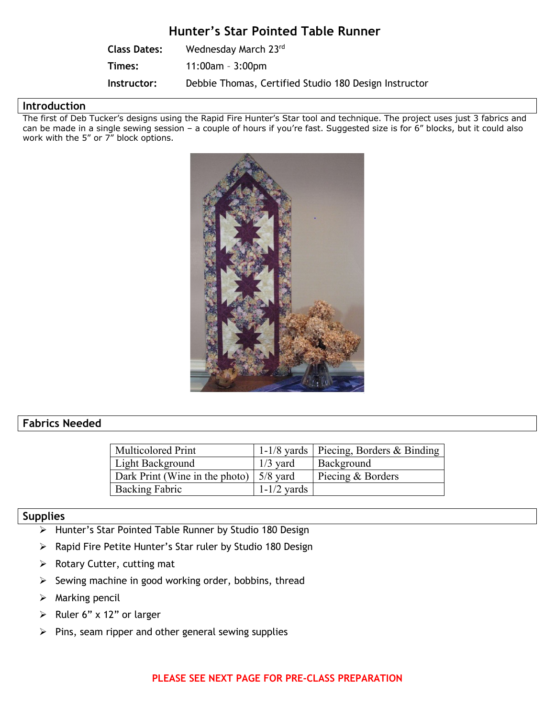# **Hunter's Star Pointed Table Runner**

| <b>Class Dates:</b> | Wednesday March 23rd                                  |
|---------------------|-------------------------------------------------------|
| Times:              | $11:00$ am - $3:00$ pm                                |
| Instructor:         | Debbie Thomas, Certified Studio 180 Design Instructor |

### **Introduction**

The first of Deb Tucker's designs using the Rapid Fire Hunter's Star tool and technique. The project uses just 3 fabrics and can be made in a single sewing session – a couple of hours if you're fast. Suggested size is for 6" blocks, but it could also work with the 5" or 7" block options.



## **Fabrics Needed**

| <b>Multicolored Print</b>                               |               | 1-1/8 yards   Piecing, Borders & Binding |
|---------------------------------------------------------|---------------|------------------------------------------|
| Light Background                                        | $1/3$ yard    | Background                               |
| Dark Print (Wine in the photo) $\vert 5/8 \rangle$ yard |               | Piecing & Borders                        |
| <b>Backing Fabric</b>                                   | $1-1/2$ yards |                                          |

### **Supplies**

- Ø Hunter's Star Pointed Table Runner by Studio 180 Design
- Ø Rapid Fire Petite Hunter's Star ruler by Studio 180 Design
- $\triangleright$  Rotary Cutter, cutting mat
- $\triangleright$  Sewing machine in good working order, bobbins, thread
- $\triangleright$  Marking pencil
- Example 12" or larger
- $\triangleright$  Pins, seam ripper and other general sewing supplies